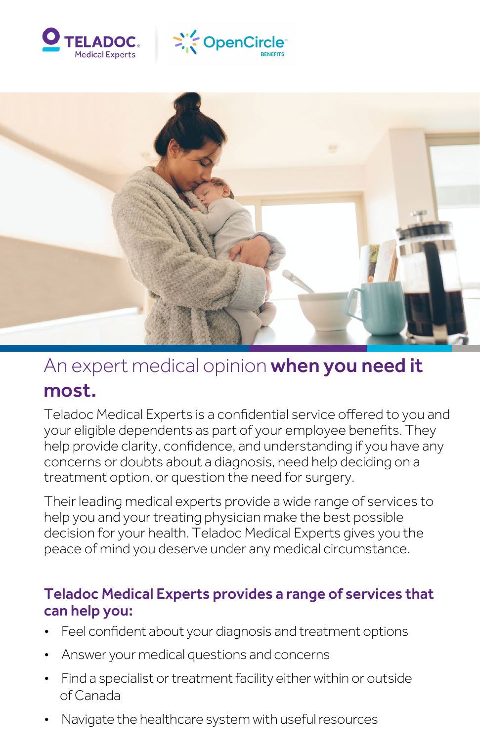





# An expert medical opinion when you need it most.

Teladoc Medical Experts is a confidential service offered to you and your eligible dependents as part of your employee benefits. They help provide clarity, confidence, and understanding if you have any concerns or doubts about a diagnosis, need help deciding on a treatment option, or question the need for surgery.

Their leading medical experts provide a wide range of services to help you and your treating physician make the best possible decision for your health. Teladoc Medical Experts gives you the peace of mind you deserve under any medical circumstance.

#### ë Teladoc Medical Experts provides a range of services that can help you:

- Feel confident about your diagnosis and treatment options
- Answer your medical questions and concerns
- Find a specialist or treatment facility either within or outside of Canada
- Navigate the healthcare system with useful resources